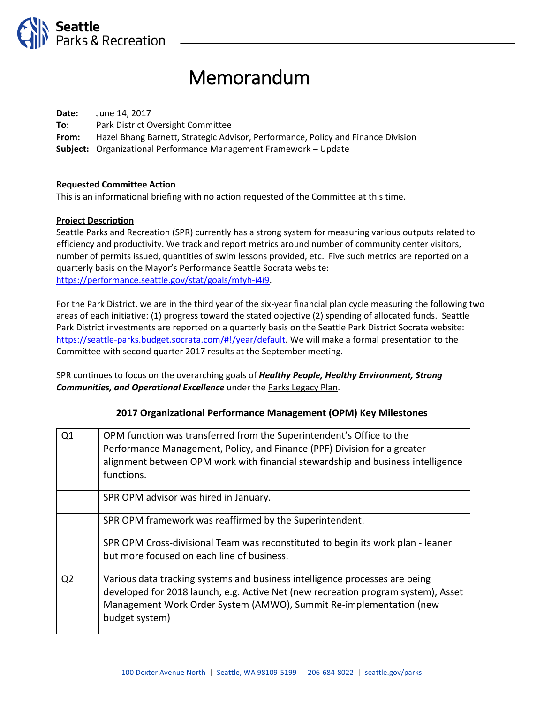

# Memorandum

**Date:** June 14, 2017 **To:** Park District Oversight Committee **From:** Hazel Bhang Barnett, Strategic Advisor, Performance, Policy and Finance Division **Subject:** Organizational Performance Management Framework – Update

#### **Requested Committee Action**

This is an informational briefing with no action requested of the Committee at this time.

#### **Project Description**

Seattle Parks and Recreation (SPR) currently has a strong system for measuring various outputs related to efficiency and productivity. We track and report metrics around number of community center visitors, number of permits issued, quantities of swim lessons provided, etc. Five such metrics are reported on a quarterly basis on the Mayor's Performance Seattle Socrata website: [https://performance.seattle.gov/stat/goals/mfyh-i4i9.](https://performance.seattle.gov/stat/goals/mfyh-i4i9)

For the Park District, we are in the third year of the six-year financial plan cycle measuring the following two areas of each initiative: (1) progress toward the stated objective (2) spending of allocated funds. Seattle Park District investments are reported on a quarterly basis on the Seattle Park District Socrata website: [https://seattle-parks.budget.socrata.com/#!/year/default.](https://seattle-parks.budget.socrata.com/#!/year/default) We will make a formal presentation to the Committee with second quarter 2017 results at the September meeting.

SPR continues to focus on the overarching goals of *Healthy People, Healthy Environment, Strong Communities, and Operational Excellence* under the Parks Legacy Plan.

#### **2017 Organizational Performance Management (OPM) Key Milestones**

| Q1             | OPM function was transferred from the Superintendent's Office to the                 |
|----------------|--------------------------------------------------------------------------------------|
|                | Performance Management, Policy, and Finance (PPF) Division for a greater             |
|                | alignment between OPM work with financial stewardship and business intelligence      |
|                | functions.                                                                           |
|                | SPR OPM advisor was hired in January.                                                |
|                | SPR OPM framework was reaffirmed by the Superintendent.                              |
|                | SPR OPM Cross-divisional Team was reconstituted to begin its work plan - leaner      |
|                | but more focused on each line of business.                                           |
| Q <sub>2</sub> | Various data tracking systems and business intelligence processes are being          |
|                | developed for 2018 launch, e.g. Active Net (new recreation program system), Asset    |
|                | Management Work Order System (AMWO), Summit Re-implementation (new<br>budget system) |
|                |                                                                                      |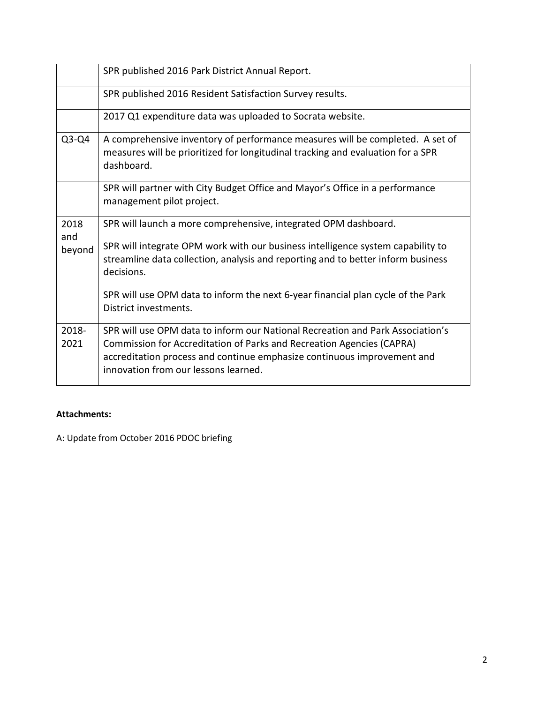|               | SPR published 2016 Park District Annual Report.                                                                                                                                   |
|---------------|-----------------------------------------------------------------------------------------------------------------------------------------------------------------------------------|
|               | SPR published 2016 Resident Satisfaction Survey results.                                                                                                                          |
|               | 2017 Q1 expenditure data was uploaded to Socrata website.                                                                                                                         |
| $Q3-Q4$       | A comprehensive inventory of performance measures will be completed. A set of<br>measures will be prioritized for longitudinal tracking and evaluation for a SPR<br>dashboard.    |
|               | SPR will partner with City Budget Office and Mayor's Office in a performance<br>management pilot project.                                                                         |
| 2018<br>and   | SPR will launch a more comprehensive, integrated OPM dashboard.                                                                                                                   |
| beyond        | SPR will integrate OPM work with our business intelligence system capability to<br>streamline data collection, analysis and reporting and to better inform business<br>decisions. |
|               | SPR will use OPM data to inform the next 6-year financial plan cycle of the Park<br>District investments.                                                                         |
| 2018-<br>2021 | SPR will use OPM data to inform our National Recreation and Park Association's<br>Commission for Accreditation of Parks and Recreation Agencies (CAPRA)                           |
|               | accreditation process and continue emphasize continuous improvement and<br>innovation from our lessons learned.                                                                   |

## **Attachments:**

A: Update from October 2016 PDOC briefing